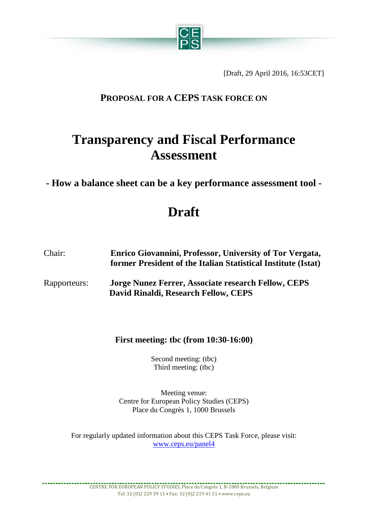

[Draft, 29 April 2016, 16:53CET]

## **PROPOSAL FOR A CEPS TASK FORCE ON**

# **Transparency and Fiscal Performance Assessment**

**- How a balance sheet can be a key performance assessment tool -**

# **Draft**

| Chair:       | Enrico Giovannini, Professor, University of Tor Vergata,<br>former President of the Italian Statistical Institute (Istat) |
|--------------|---------------------------------------------------------------------------------------------------------------------------|
| Rapporteurs: | <b>Jorge Nunez Ferrer, Associate research Fellow, CEPS</b><br>David Rinaldi, Research Fellow, CEPS                        |

**First meeting: tbc (from 10:30-16:00)**

Second meeting: (tbc) Third meeting: (tbc)

Meeting venue: Centre for European Policy Studies (CEPS) Place du Congrès 1, 1000 Brussels

For regularly updated information about this CEPS Task Force, please visit: [www.ceps.eu/panel4](http://www.ceps.eu/panel4)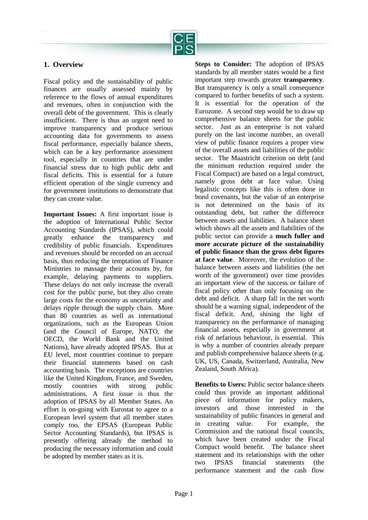

## **1. Overview**

Fiscal policy and the sustainability of public finances are usually assessed mainly by reference to the flows of annual expenditures and revenues, often in conjunction with the overall debt of the government. This is clearly insufficient. There is thus an urgent need to improve transparency and produce serious accounting data for governments to assess fiscal performance, especially balance sheets, which can be a key performance assessment tool, especially in countries that are under financial stress due to high public debt and fiscal deficits. This is essential for a future efficient operation of the single currency and for government institutions to demonstrate that they can create value.

**Important Issues:** A first important issue is the adoption of International Public Sector Accounting Standards (IPSAS), which could greatly enhance the transparency and credibility of public financials. Expenditures and revenues should be recorded on an accrual basis, thus reducing the temptation of Finance Ministries to massage their accounts by, for example, delaying payments to suppliers. These delays do not only increase the overall cost for the public purse, but they also create large costs for the economy as uncertainty and delays ripple through the supply chain. More than 80 countries as well as international organizations, such as the European Union (and the Council of Europe, NATO, the OECD, the World Bank and the United Nations), have already adopted IPSAS. But at EU level, most countries continue to prepare their financial statements based on cash accounting basis. The exceptions are countries like the United Kingdom, France, and Sweden, mostly countries with strong public administrations. A first issue is thus the adoption of IPSAS by all Member States. An effort is on-going with Eurostat to agree to a European level system that all member states comply too, the EPSAS (European Public Sector Accounting Standards), but IPSAS is presently offering already the method to producing the necessary information and could be adopted by member states as it is.

**Steps to Consider:** The adoption of IPSAS standards by all member states would be a first important step towards greater **transparency**. But transparency is only a small consequence compared to further benefits of such a system. It is essential for the operation of the Eurozone. A second step would be to draw up comprehensive balance sheets for the public sector. Just as an enterprise is not valued purely on the last income number, an overall view of public finance requires a proper view of the overall assets and liabilities of the public sector. The Maastricht criterion on debt (and the minimum reduction required under the Fiscal Compact) are based on a legal construct, namely gross debt at face value. Using legalistic concepts like this is often done in bond covenants, but the value of an enterprise is not determined on the basis of its outstanding debt, but rather the difference between assets and liabilities. A balance sheet which shows all the assets and liabilities of the public sector can provide a **much fuller and more accurate picture of the sustainability of public finance than the gross debt figures at face value**. Moreover, the evolution of the balance between assets and liabilities (the net worth of the government) over time provides an important view of the success or failure of fiscal policy other than only focusing on the debt and deficit. A sharp fall in the net worth should be a warning signal, independent of the fiscal deficit. And, shining the light of transparency on the performance of managing financial assets, especially in government at risk of nefarious behaviour, is essential. This is why a number of countries already prepare and publish comprehensive balance sheets (e.g. UK, US, Canada, Switzerland, Australia, New Zealand, South Africa).

**Benefits to Users:** Public sector balance sheets could thus provide an important additional piece of information for policy makers, investors and those interested in the sustainability of public finances in general and in creating value. For example, the Commission and the national fiscal councils, which have been created under the Fiscal Compact would benefit. The balance sheet statement and its relationships with the other two IPSAS financial statements (the performance statement and the cash flow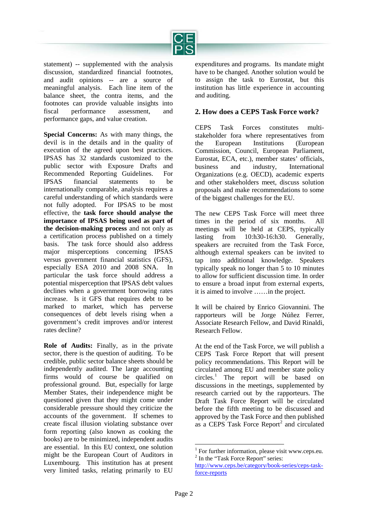

statement) -- supplemented with the analysis discussion, standardized financial footnotes, and audit opinions -- are a source of meaningful analysis. Each line item of the balance sheet, the contra items, and the footnotes can provide valuable insights into fiscal performance assessment, and performance gaps, and value creation.

**Special Concerns:** As with many things, the devil is in the details and in the quality of execution of the agreed upon best practices. IPSAS has 32 standards customized to the public sector with Exposure Drafts and Recommended Reporting Guidelines. For IPSAS financial statements to be internationally comparable, analysis requires a careful understanding of which standards were not fully adopted. For IPSAS to be most effective, the **task force should analyse the importance of IPSAS being used as part of the decision-making process** and not only as a certification process published on a timely basis. The task force should also address major misperceptions concerning IPSAS versus government financial statistics (GFS), especially ESA 2010 and 2008 SNA. In particular the task force should address a potential misperception that IPSAS debt values declines when a government borrowing rates increase. Is it GFS that requires debt to be marked to market, which has perverse consequences of debt levels rising when a government's credit improves and/or interest rates decline?

<span id="page-2-1"></span><span id="page-2-0"></span>**Role of Audits:** Finally, as in the private sector, there is the question of auditing. To be credible, public sector balance sheets should be independently audited. The large accounting firms would of course be qualified on professional ground. But, especially for large Member States, their independence might be questioned given that they might come under considerable pressure should they criticize the accounts of the government. If schemes to create fiscal illusion violating substance over form reporting (also known as cooking the books) are to be minimized, independent audits are essential. In this EU context, one solution might be the European Court of Auditors in Luxembourg. This institution has at present very limited tasks, relating primarily to EU

expenditures and programs. Its mandate might have to be changed. Another solution would be to assign the task to Eurostat, but this institution has little experience in accounting and auditing.

### **2. How does a CEPS Task Force work?**

CEPS Task Forces constitutes multistakeholder fora where representatives from the European Institutions (European Commission, Council, European Parliament, Eurostat, ECA, etc.), member states' officials, business and industry, International Organizations (e.g. OECD), academic experts and other stakeholders meet, discuss solution proposals and make recommendations to some of the biggest challenges for the EU.

The new CEPS Task Force will meet three times in the period of six months. All meetings will be held at CEPS, typically lasting from 10:h30-16:h30. Generally, speakers are recruited from the Task Force, although external speakers can be invited to tap into additional knowledge. Speakers typically speak no longer than 5 to 10 minutes to allow for sufficient discussion time. In order to ensure a broad input from external experts, it is aimed to involve ……in the project.

It will be chaired by Enrico Giovannini. The rapporteurs will be Jorge Núñez Ferrer, Associate Research Fellow, and David Rinaldi, Research Fellow.

At the end of the Task Force, we will publish a CEPS Task Force Report that will present policy recommendations. This Report will be circulated among EU and member state policy circles.[1](#page-2-0) The report will be based on discussions in the meetings, supplemented by research carried out by the rapporteurs. The Draft Task Force Report will be circulated before the fifth meeting to be discussed and approved by the Task Force and then published as a CEPS Task Force Report<sup>[2](#page-2-1)</sup> and circulated

<sup>&</sup>lt;sup>1</sup> For further information, please visit www.ceps.eu.  $2 \text{ In the "Task Force Report" series:}$ 

[http://www.ceps.be/category/book-series/ceps-task](http://www.ceps.be/category/book-series/ceps-task-force-reports)[force-reports](http://www.ceps.be/category/book-series/ceps-task-force-reports)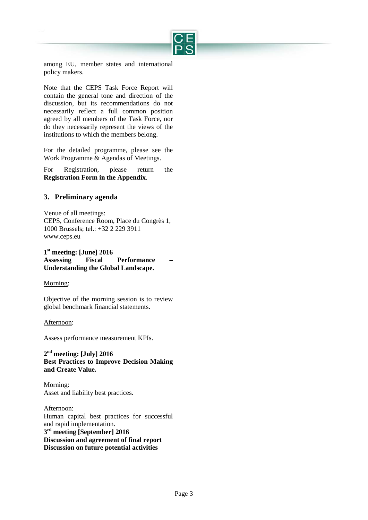

among EU, member states and international policy makers.

Note that the CEPS Task Force Report will contain the general tone and direction of the discussion, but its recommendations do not necessarily reflect a full common position agreed by all members of the Task Force, nor do they necessarily represent the views of the institutions to which the members belong.

For the detailed programme, please see the Work Programme & Agendas of Meetings.

For Registration, please return the **Registration Form in the Appendix**.

## **3. Preliminary agenda**

Venue of all meetings: CEPS, Conference Room, Place du Congrès 1, 1000 Brussels; tel.: +32 2 229 3911 [www.ceps.eu](http://www.ceps.eu/)

**1st meeting: [June] 2016 Assessing Fiscal Performance – Understanding the Global Landscape.**

#### Morning:

Objective of the morning session is to review global benchmark financial statements.

#### Afternoon:

Assess performance measurement KPIs.

**2nd meeting: [July] 2016 Best Practices to Improve Decision Making and Create Value.**

Morning: Asset and liability best practices.

Afternoon: Human capital best practices for successful and rapid implementation. **3rd meeting [September] 2016 Discussion and agreement of final report Discussion on future potential activities**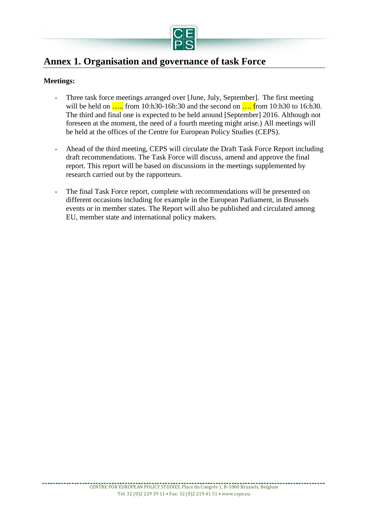

# **Annex 1. Organisation and governance of task Force**

## **Meetings:**

- Three task force meetings arranged over [June, July, September]. The first meeting will be held on ..... from 10:h30-16h:30 and the second on .... from 10:h30 to 16:h30. The third and final one is expected to be held around [September] 2016. Although not foreseen at the moment, the need of a fourth meeting might arise.) All meetings will be held at the offices of the Centre for European Policy Studies (CEPS).
- Ahead of the third meeting, CEPS will circulate the Draft Task Force Report including draft recommendations. The Task Force will discuss, amend and approve the final report. This report will be based on discussions in the meetings supplemented by research carried out by the rapporteurs.
- The final Task Force report, complete with recommendations will be presented on different occasions including for example in the European Parliament, in Brussels events or in member states. The Report will also be published and circulated among EU, member state and international policy makers.